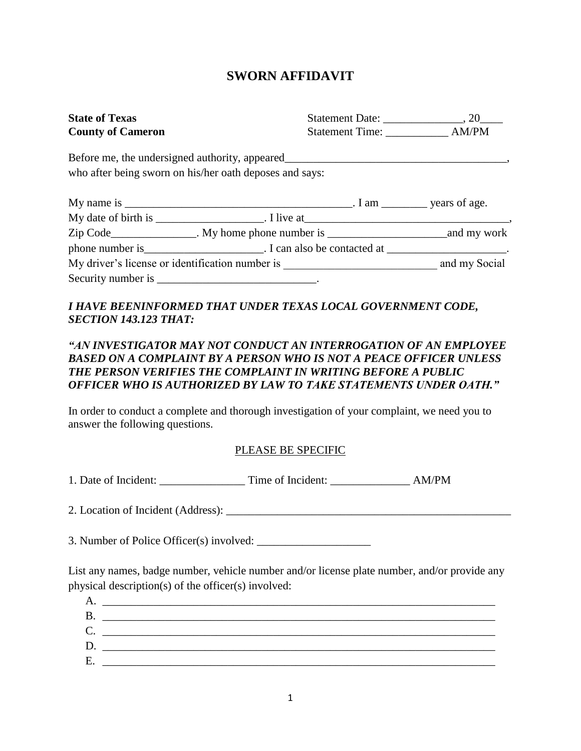## **SWORN AFFIDAVIT**

| <b>State of Texas</b>    |                                                         |               |
|--------------------------|---------------------------------------------------------|---------------|
| <b>County of Cameron</b> |                                                         |               |
|                          |                                                         |               |
|                          | who after being sworn on his/her oath deposes and says: |               |
|                          |                                                         |               |
|                          |                                                         |               |
|                          |                                                         |               |
|                          |                                                         |               |
|                          | My driver's license or identification number is         | and my Social |
|                          | Security number is _________________________________.   |               |

## *I HAVE BEENINFORMED THAT UNDER TEXAS LOCAL GOVERNMENT CODE, SECTION 143.123 THAT:*

## *"AN INVESTIGATOR MAY NOT CONDUCT AN INTERROGATION OF AN EMPLOYEE BASED ON A COMPLAINT BY A PERSON WHO IS NOT A PEACE OFFICER UNLESS THE PERSON VERIFIES THE COMPLAINT IN WRITING BEFORE A PUBLIC OFFICER WHO IS AUTHORIZED BY LAW TO TAKE STATEMENTS UNDER OATH."*

In order to conduct a complete and thorough investigation of your complaint, we need you to answer the following questions.

## PLEASE BE SPECIFIC

1. Date of Incident: Time of Incident: AM/PM

2. Location of Incident (Address): \_\_\_\_\_\_\_\_\_\_\_\_\_\_\_\_\_\_\_\_\_\_\_\_\_\_\_\_\_\_\_\_\_\_\_\_\_\_\_\_\_\_\_\_\_\_\_\_\_\_

3. Number of Police Officer(s) involved:

List any names, badge number, vehicle number and/or license plate number, and/or provide any physical description(s) of the officer(s) involved:

| A. |  |
|----|--|
| B. |  |
| C. |  |
| D. |  |
| E. |  |
|    |  |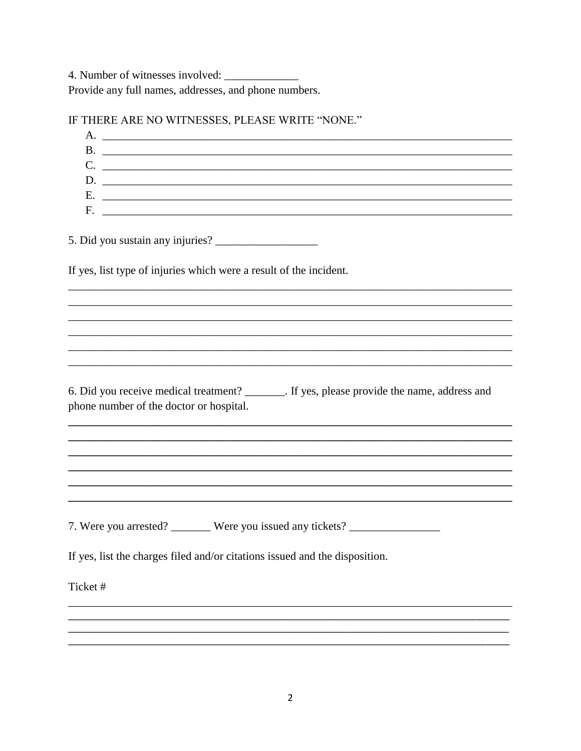4. Number of witnesses involved: Provide any full names, addresses, and phone numbers.

| $C.$ $\qquad \qquad$<br>D.                                                                                                              |
|-----------------------------------------------------------------------------------------------------------------------------------------|
|                                                                                                                                         |
|                                                                                                                                         |
|                                                                                                                                         |
|                                                                                                                                         |
|                                                                                                                                         |
|                                                                                                                                         |
| If yes, list type of injuries which were a result of the incident.                                                                      |
|                                                                                                                                         |
|                                                                                                                                         |
|                                                                                                                                         |
|                                                                                                                                         |
| 6. Did you receive medical treatment? ________. If yes, please provide the name, address and<br>phone number of the doctor or hospital. |
|                                                                                                                                         |
|                                                                                                                                         |
| 7. Were you arrested? ________ Were you issued any tickets? ____________________                                                        |
|                                                                                                                                         |
| If yes, list the charges filed and/or citations issued and the disposition.                                                             |
| Ticket#                                                                                                                                 |
|                                                                                                                                         |
|                                                                                                                                         |

IE THERE ARE NO WITNESSES DI EASE WRITE "NONE"